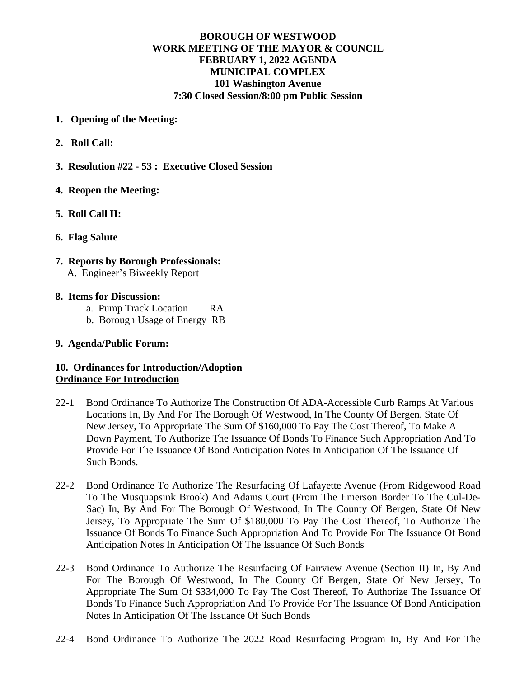# **BOROUGH OF WESTWOOD WORK MEETING OF THE MAYOR & COUNCIL FEBRUARY 1, 2022 AGENDA MUNICIPAL COMPLEX 101 Washington Avenue 7:30 Closed Session/8:00 pm Public Session**

- **1. Opening of the Meeting:**
- **2. Roll Call:**
- **3. Resolution #22 53 : Executive Closed Session**

### **4. Reopen the Meeting:**

- **5. Roll Call II:**
- **6. Flag Salute**
- **7. Reports by Borough Professionals:** A. Engineer's Biweekly Report
- **8. Items for Discussion:**
	- a. Pump Track Location RA
	- b. Borough Usage of Energy RB

### **9. Agenda/Public Forum:**

# **10. Ordinances for Introduction/Adoption Ordinance For Introduction**

- 22-1 Bond Ordinance To Authorize The Construction Of ADA-Accessible Curb Ramps At Various Locations In, By And For The Borough Of Westwood, In The County Of Bergen, State Of New Jersey, To Appropriate The Sum Of \$160,000 To Pay The Cost Thereof, To Make A Down Payment, To Authorize The Issuance Of Bonds To Finance Such Appropriation And To Provide For The Issuance Of Bond Anticipation Notes In Anticipation Of The Issuance Of Such Bonds.
- 22-2 Bond Ordinance To Authorize The Resurfacing Of Lafayette Avenue (From Ridgewood Road To The Musquapsink Brook) And Adams Court (From The Emerson Border To The Cul-De-Sac) In, By And For The Borough Of Westwood, In The County Of Bergen, State Of New Jersey, To Appropriate The Sum Of \$180,000 To Pay The Cost Thereof, To Authorize The Issuance Of Bonds To Finance Such Appropriation And To Provide For The Issuance Of Bond Anticipation Notes In Anticipation Of The Issuance Of Such Bonds
- 22-3 Bond Ordinance To Authorize The Resurfacing Of Fairview Avenue (Section II) In, By And For The Borough Of Westwood, In The County Of Bergen, State Of New Jersey, To Appropriate The Sum Of \$334,000 To Pay The Cost Thereof, To Authorize The Issuance Of Bonds To Finance Such Appropriation And To Provide For The Issuance Of Bond Anticipation Notes In Anticipation Of The Issuance Of Such Bonds
- 22-4 Bond Ordinance To Authorize The 2022 Road Resurfacing Program In, By And For The